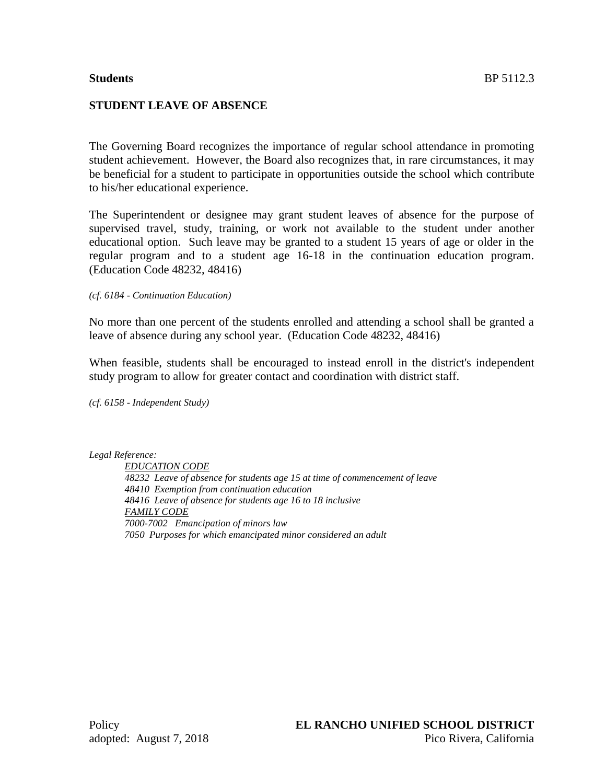### **Students** BP 5112.3

# **STUDENT LEAVE OF ABSENCE**

The Governing Board recognizes the importance of regular school attendance in promoting student achievement. However, the Board also recognizes that, in rare circumstances, it may be beneficial for a student to participate in opportunities outside the school which contribute to his/her educational experience.

The Superintendent or designee may grant student leaves of absence for the purpose of supervised travel, study, training, or work not available to the student under another educational option. Such leave may be granted to a student 15 years of age or older in the regular program and to a student age 16-18 in the continuation education program. (Education Code 48232, 48416)

*(cf. 6184 - Continuation Education)*

No more than one percent of the students enrolled and attending a school shall be granted a leave of absence during any school year. (Education Code 48232, 48416)

When feasible, students shall be encouraged to instead enroll in the district's independent study program to allow for greater contact and coordination with district staff.

*(cf. 6158 - Independent Study)*

*Legal Reference:*

*EDUCATION CODE 48232 Leave of absence for students age 15 at time of commencement of leave 48410 Exemption from continuation education 48416 Leave of absence for students age 16 to 18 inclusive FAMILY CODE 7000-7002 Emancipation of minors law 7050 Purposes for which emancipated minor considered an adult*